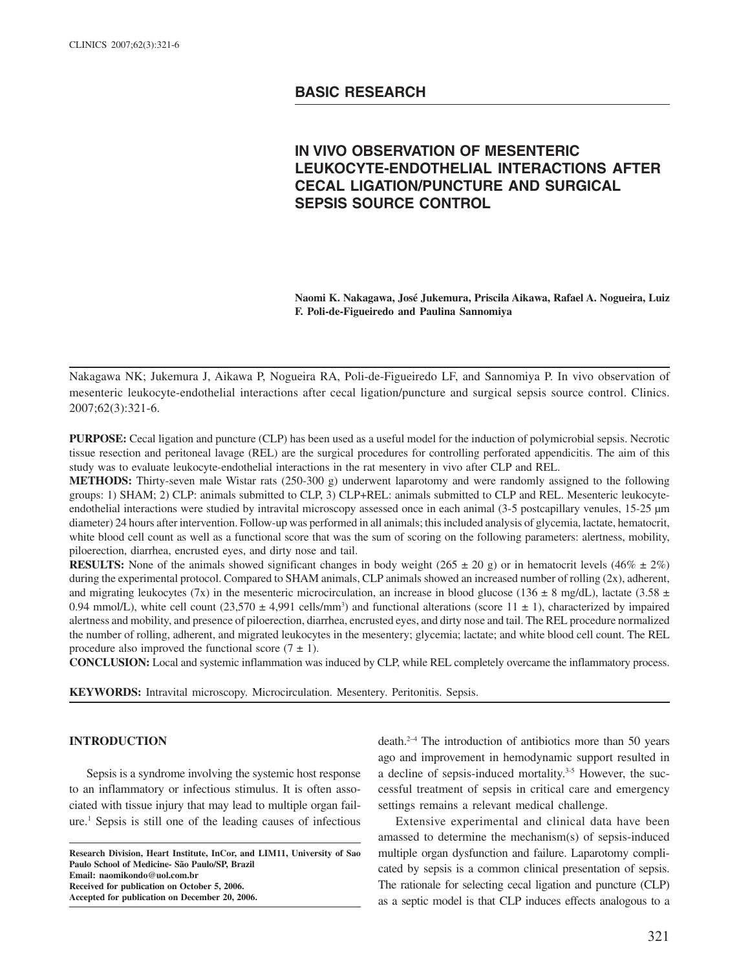# **BASIC RESEARCH**

# **IN VIVO OBSERVATION OF MESENTERIC LEUKOCYTE-ENDOTHELIAL INTERACTIONS AFTER CECAL LIGATION/PUNCTURE AND SURGICAL SEPSIS SOURCE CONTROL**

**Naomi K. Nakagawa, José Jukemura, Priscila Aikawa, Rafael A. Nogueira, Luiz F. Poli-de-Figueiredo and Paulina Sannomiya**

Nakagawa NK; Jukemura J, Aikawa P, Nogueira RA, Poli-de-Figueiredo LF, and Sannomiya P. In vivo observation of mesenteric leukocyte-endothelial interactions after cecal ligation/puncture and surgical sepsis source control. Clinics. 2007;62(3):321-6.

**PURPOSE:** Cecal ligation and puncture (CLP) has been used as a useful model for the induction of polymicrobial sepsis. Necrotic tissue resection and peritoneal lavage (REL) are the surgical procedures for controlling perforated appendicitis. The aim of this study was to evaluate leukocyte-endothelial interactions in the rat mesentery in vivo after CLP and REL.

**METHODS:** Thirty-seven male Wistar rats (250-300 g) underwent laparotomy and were randomly assigned to the following groups: 1) SHAM; 2) CLP: animals submitted to CLP, 3) CLP+REL: animals submitted to CLP and REL. Mesenteric leukocyteendothelial interactions were studied by intravital microscopy assessed once in each animal (3-5 postcapillary venules, 15-25 µm diameter) 24 hours after intervention. Follow-up was performed in all animals; this included analysis of glycemia, lactate, hematocrit, white blood cell count as well as a functional score that was the sum of scoring on the following parameters: alertness, mobility, piloerection, diarrhea, encrusted eyes, and dirty nose and tail.

**RESULTS:** None of the animals showed significant changes in body weight ( $265 \pm 20$  g) or in hematocrit levels ( $46\% \pm 2\%$ ) during the experimental protocol. Compared to SHAM animals, CLP animals showed an increased number of rolling (2x), adherent, and migrating leukocytes (7x) in the mesenteric microcirculation, an increase in blood glucose (136  $\pm$  8 mg/dL), lactate (3.58  $\pm$ 0.94 mmol/L), white cell count  $(23,570 \pm 4,991 \text{ cells/mm}^3)$  and functional alterations (score  $11 \pm 1$ ), characterized by impaired alertness and mobility, and presence of piloerection, diarrhea, encrusted eyes, and dirty nose and tail. The REL procedure normalized the number of rolling, adherent, and migrated leukocytes in the mesentery; glycemia; lactate; and white blood cell count. The REL procedure also improved the functional score  $(7 \pm 1)$ .

**CONCLUSION:** Local and systemic inflammation was induced by CLP, while REL completely overcame the inflammatory process.

**KEYWORDS:** Intravital microscopy. Microcirculation. Mesentery. Peritonitis. Sepsis.

# **INTRODUCTION**

Sepsis is a syndrome involving the systemic host response to an inflammatory or infectious stimulus. It is often associated with tissue injury that may lead to multiple organ failure.1 Sepsis is still one of the leading causes of infectious

**Research Division, Heart Institute, InCor, and LIM11, University of Sao Paulo School of Medicine- São Paulo/SP, Brazil Email: naomikondo@uol.com.br Received for publication on October 5, 2006. Accepted for publication on December 20, 2006.**

death.2–4 The introduction of antibiotics more than 50 years ago and improvement in hemodynamic support resulted in a decline of sepsis-induced mortality.3-5 However, the successful treatment of sepsis in critical care and emergency settings remains a relevant medical challenge.

Extensive experimental and clinical data have been amassed to determine the mechanism(s) of sepsis-induced multiple organ dysfunction and failure. Laparotomy complicated by sepsis is a common clinical presentation of sepsis. The rationale for selecting cecal ligation and puncture (CLP) as a septic model is that CLP induces effects analogous to a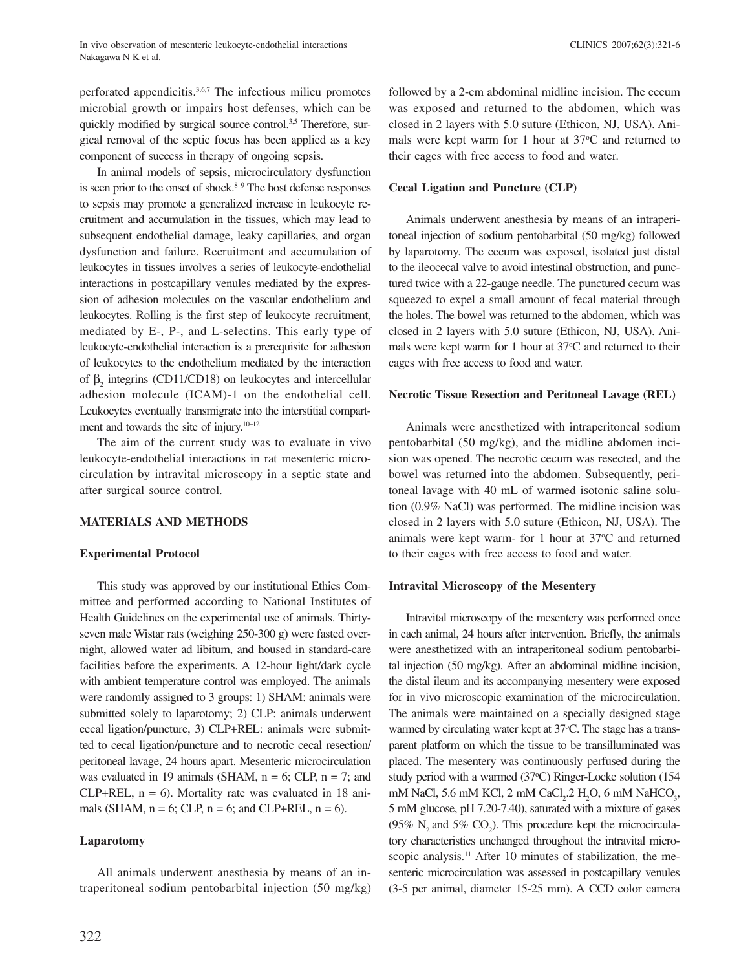perforated appendicitis.3,6,7 The infectious milieu promotes microbial growth or impairs host defenses, which can be quickly modified by surgical source control.<sup>3,5</sup> Therefore, surgical removal of the septic focus has been applied as a key component of success in therapy of ongoing sepsis.

In animal models of sepsis, microcirculatory dysfunction is seen prior to the onset of shock.<sup>8-9</sup> The host defense responses to sepsis may promote a generalized increase in leukocyte recruitment and accumulation in the tissues, which may lead to subsequent endothelial damage, leaky capillaries, and organ dysfunction and failure. Recruitment and accumulation of leukocytes in tissues involves a series of leukocyte-endothelial interactions in postcapillary venules mediated by the expression of adhesion molecules on the vascular endothelium and leukocytes. Rolling is the first step of leukocyte recruitment, mediated by E-, P-, and L-selectins. This early type of leukocyte-endothelial interaction is a prerequisite for adhesion of leukocytes to the endothelium mediated by the interaction of  $\beta_2$  integrins (CD11/CD18) on leukocytes and intercellular adhesion molecule (ICAM)-1 on the endothelial cell. Leukocytes eventually transmigrate into the interstitial compartment and towards the site of injury. $10-12$ 

The aim of the current study was to evaluate in vivo leukocyte-endothelial interactions in rat mesenteric microcirculation by intravital microscopy in a septic state and after surgical source control.

# **MATERIALS AND METHODS**

# **Experimental Protocol**

This study was approved by our institutional Ethics Committee and performed according to National Institutes of Health Guidelines on the experimental use of animals. Thirtyseven male Wistar rats (weighing 250-300 g) were fasted overnight, allowed water ad libitum, and housed in standard-care facilities before the experiments. A 12-hour light/dark cycle with ambient temperature control was employed. The animals were randomly assigned to 3 groups: 1) SHAM: animals were submitted solely to laparotomy; 2) CLP: animals underwent cecal ligation/puncture, 3) CLP+REL: animals were submitted to cecal ligation/puncture and to necrotic cecal resection/ peritoneal lavage, 24 hours apart. Mesenteric microcirculation was evaluated in 19 animals (SHAM,  $n = 6$ ; CLP,  $n = 7$ ; and  $CLP+REL$ ,  $n = 6$ ). Mortality rate was evaluated in 18 animals (SHAM,  $n = 6$ ; CLP,  $n = 6$ ; and CLP+REL,  $n = 6$ ).

# **Laparotomy**

All animals underwent anesthesia by means of an intraperitoneal sodium pentobarbital injection (50 mg/kg)

followed by a 2-cm abdominal midline incision. The cecum was exposed and returned to the abdomen, which was closed in 2 layers with 5.0 suture (Ethicon, NJ, USA). Animals were kept warm for 1 hour at 37°C and returned to their cages with free access to food and water.

## **Cecal Ligation and Puncture (CLP)**

Animals underwent anesthesia by means of an intraperitoneal injection of sodium pentobarbital (50 mg/kg) followed by laparotomy. The cecum was exposed, isolated just distal to the ileocecal valve to avoid intestinal obstruction, and punctured twice with a 22-gauge needle. The punctured cecum was squeezed to expel a small amount of fecal material through the holes. The bowel was returned to the abdomen, which was closed in 2 layers with 5.0 suture (Ethicon, NJ, USA). Animals were kept warm for 1 hour at 37°C and returned to their cages with free access to food and water.

#### **Necrotic Tissue Resection and Peritoneal Lavage (REL)**

Animals were anesthetized with intraperitoneal sodium pentobarbital (50 mg/kg), and the midline abdomen incision was opened. The necrotic cecum was resected, and the bowel was returned into the abdomen. Subsequently, peritoneal lavage with 40 mL of warmed isotonic saline solution (0.9% NaCl) was performed. The midline incision was closed in 2 layers with 5.0 suture (Ethicon, NJ, USA). The animals were kept warm- for 1 hour at 37°C and returned to their cages with free access to food and water.

# **Intravital Microscopy of the Mesentery**

Intravital microscopy of the mesentery was performed once in each animal, 24 hours after intervention. Briefly, the animals were anesthetized with an intraperitoneal sodium pentobarbital injection (50 mg/kg). After an abdominal midline incision, the distal ileum and its accompanying mesentery were exposed for in vivo microscopic examination of the microcirculation. The animals were maintained on a specially designed stage warmed by circulating water kept at 37°C. The stage has a transparent platform on which the tissue to be transilluminated was placed. The mesentery was continuously perfused during the study period with a warmed (37°C) Ringer-Locke solution (154 mM NaCl, 5.6 mM KCl, 2 mM CaCl<sub>2</sub>.2 H<sub>2</sub>O, 6 mM NaHCO<sub>3</sub>, 5 mM glucose, pH 7.20-7.40), saturated with a mixture of gases (95%  $N_2$  and 5%  $CO_2$ ). This procedure kept the microcirculatory characteristics unchanged throughout the intravital microscopic analysis.<sup>11</sup> After 10 minutes of stabilization, the mesenteric microcirculation was assessed in postcapillary venules (3-5 per animal, diameter 15-25 mm). A CCD color camera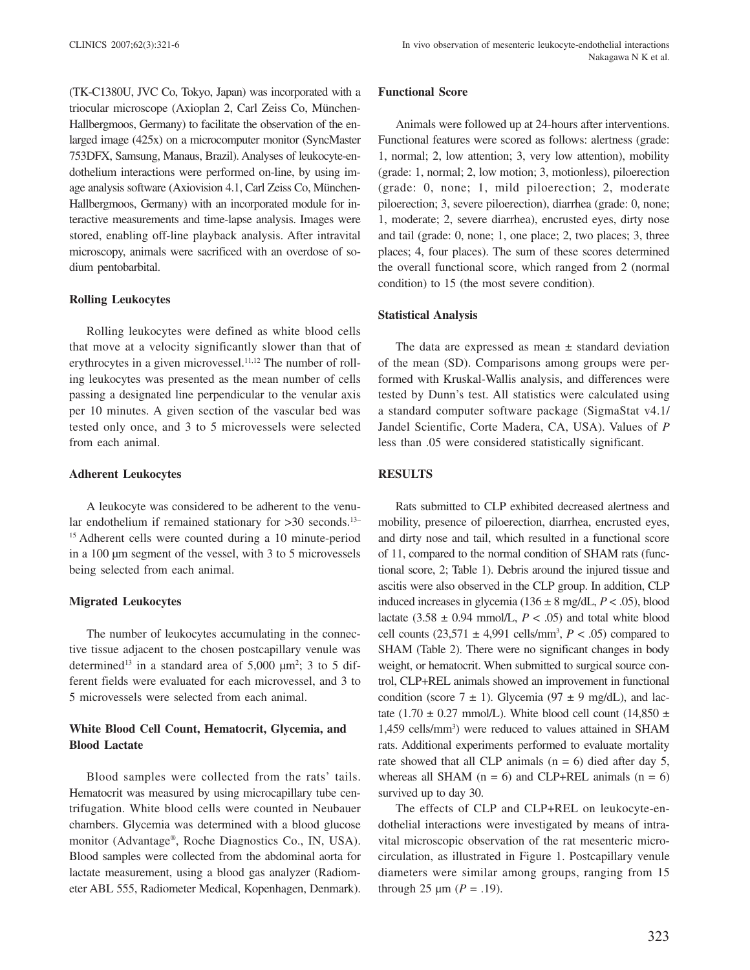(TK-C1380U, JVC Co, Tokyo, Japan) was incorporated with a triocular microscope (Axioplan 2, Carl Zeiss Co, München-Hallbergmoos, Germany) to facilitate the observation of the enlarged image (425x) on a microcomputer monitor (SyncMaster 753DFX, Samsung, Manaus, Brazil). Analyses of leukocyte-endothelium interactions were performed on-line, by using image analysis software (Axiovision 4.1, Carl Zeiss Co, München-Hallbergmoos, Germany) with an incorporated module for interactive measurements and time-lapse analysis. Images were stored, enabling off-line playback analysis. After intravital microscopy, animals were sacrificed with an overdose of sodium pentobarbital.

#### **Rolling Leukocytes**

Rolling leukocytes were defined as white blood cells that move at a velocity significantly slower than that of erythrocytes in a given microvessel.<sup>11,12</sup> The number of rolling leukocytes was presented as the mean number of cells passing a designated line perpendicular to the venular axis per 10 minutes. A given section of the vascular bed was tested only once, and 3 to 5 microvessels were selected from each animal.

#### **Adherent Leukocytes**

A leukocyte was considered to be adherent to the venular endothelium if remained stationary for >30 seconds.<sup>13–1</sup> <sup>15</sup> Adherent cells were counted during a 10 minute-period in a 100 µm segment of the vessel, with 3 to 5 microvessels being selected from each animal.

# **Migrated Leukocytes**

The number of leukocytes accumulating in the connective tissue adjacent to the chosen postcapillary venule was determined<sup>13</sup> in a standard area of  $5,000 \mu m^2$ ; 3 to 5 different fields were evaluated for each microvessel, and 3 to 5 microvessels were selected from each animal.

# **White Blood Cell Count, Hematocrit, Glycemia, and Blood Lactate**

Blood samples were collected from the rats' tails. Hematocrit was measured by using microcapillary tube centrifugation. White blood cells were counted in Neubauer chambers. Glycemia was determined with a blood glucose monitor (Advantage®, Roche Diagnostics Co., IN, USA). Blood samples were collected from the abdominal aorta for lactate measurement, using a blood gas analyzer (Radiometer ABL 555, Radiometer Medical, Kopenhagen, Denmark).

#### **Functional Score**

Animals were followed up at 24-hours after interventions. Functional features were scored as follows: alertness (grade: 1, normal; 2, low attention; 3, very low attention), mobility (grade: 1, normal; 2, low motion; 3, motionless), piloerection (grade: 0, none; 1, mild piloerection; 2, moderate piloerection; 3, severe piloerection), diarrhea (grade: 0, none; 1, moderate; 2, severe diarrhea), encrusted eyes, dirty nose and tail (grade: 0, none; 1, one place; 2, two places; 3, three places; 4, four places). The sum of these scores determined the overall functional score, which ranged from 2 (normal condition) to 15 (the most severe condition).

## **Statistical Analysis**

The data are expressed as mean  $\pm$  standard deviation of the mean (SD). Comparisons among groups were performed with Kruskal-Wallis analysis, and differences were tested by Dunn's test. All statistics were calculated using a standard computer software package (SigmaStat v4.1/ Jandel Scientific, Corte Madera, CA, USA). Values of *P* less than .05 were considered statistically significant.

# **RESULTS**

Rats submitted to CLP exhibited decreased alertness and mobility, presence of piloerection, diarrhea, encrusted eyes, and dirty nose and tail, which resulted in a functional score of 11, compared to the normal condition of SHAM rats (functional score, 2; Table 1). Debris around the injured tissue and ascitis were also observed in the CLP group. In addition, CLP induced increases in glycemia ( $136 \pm 8$  mg/dL,  $P < .05$ ), blood lactate  $(3.58 \pm 0.94 \text{ mmol/L}, P < .05)$  and total white blood cell counts  $(23,571 \pm 4,991 \text{ cells/mm}^3, P < .05)$  compared to SHAM (Table 2). There were no significant changes in body weight, or hematocrit. When submitted to surgical source control, CLP+REL animals showed an improvement in functional condition (score  $7 \pm 1$ ). Glycemia (97  $\pm$  9 mg/dL), and lactate (1.70  $\pm$  0.27 mmol/L). White blood cell count (14,850  $\pm$ 1,459 cells/mm<sup>3</sup>) were reduced to values attained in SHAM rats. Additional experiments performed to evaluate mortality rate showed that all CLP animals  $(n = 6)$  died after day 5, whereas all SHAM ( $n = 6$ ) and CLP+REL animals ( $n = 6$ ) survived up to day 30.

The effects of CLP and CLP+REL on leukocyte-endothelial interactions were investigated by means of intravital microscopic observation of the rat mesenteric microcirculation, as illustrated in Figure 1. Postcapillary venule diameters were similar among groups, ranging from 15 through 25  $\mu$ m (*P* = .19).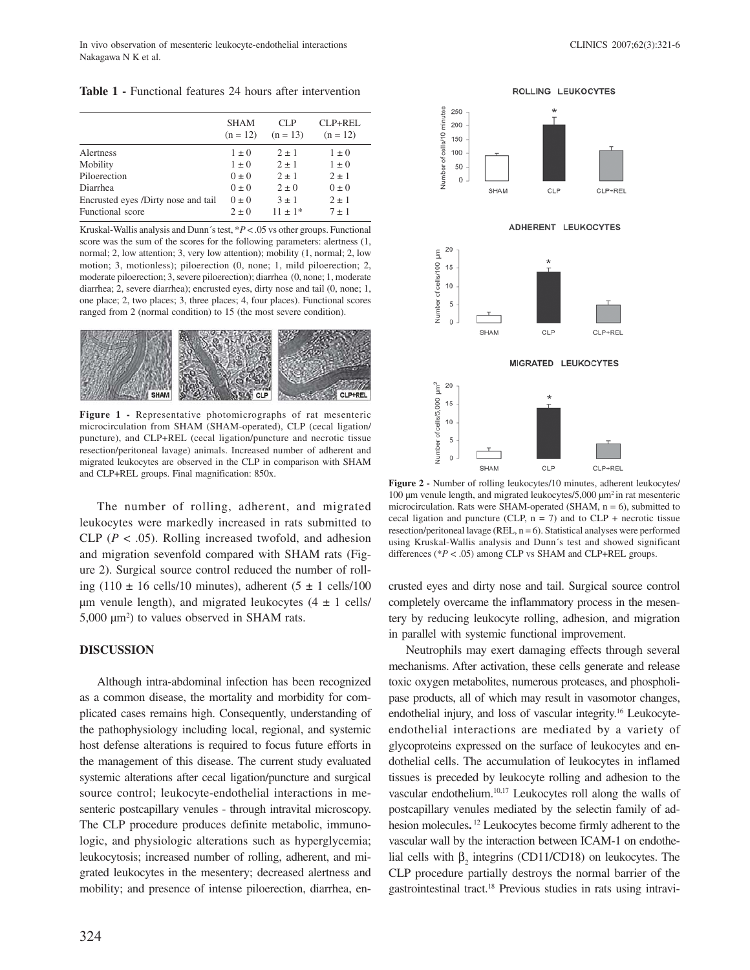In vivo observation of mesenteric leukocyte-endothelial interactions CLINICS 2007;62(3):321-6 Nakagawa N K et al.

**Table 1 -** Functional features 24 hours after intervention

|                                     | <b>SHAM</b><br>$(n = 12)$ | CLP<br>$(n = 13)$ | $CL$ $P+RE$ $L$ .<br>$(n = 12)$ |
|-------------------------------------|---------------------------|-------------------|---------------------------------|
| Alertness                           | $1 \pm 0$                 | $2 \pm 1$         | $1 \pm 0$                       |
| Mobility                            | $1 \pm 0$                 | $2 \pm 1$         | $1 \pm 0$                       |
| Piloerection                        | $0 \pm 0$                 | $2 \pm 1$         | $2 \pm 1$                       |
| Diarrhea                            | $0 \pm 0$                 | $2 \pm 0$         | $0 \pm 0$                       |
| Encrusted eyes /Dirty nose and tail | $0 \pm 0$                 | $3 \pm 1$         | $2 \pm 1$                       |
| Functional score                    | $2 \pm 0$                 | $11 + 1*$         | $7 \pm 1$                       |

Kruskal-Wallis analysis and Dunn´s test, \**P* < .05 vs other groups. Functional score was the sum of the scores for the following parameters: alertness (1, normal; 2, low attention; 3, very low attention); mobility (1, normal; 2, low motion; 3, motionless); piloerection (0, none; 1, mild piloerection; 2, moderate piloerection; 3, severe piloerection); diarrhea (0, none; 1, moderate diarrhea; 2, severe diarrhea); encrusted eyes, dirty nose and tail (0, none; 1, one place; 2, two places; 3, three places; 4, four places). Functional scores ranged from 2 (normal condition) to 15 (the most severe condition).



**Figure 1 -** Representative photomicrographs of rat mesenteric microcirculation from SHAM (SHAM-operated), CLP (cecal ligation/ puncture), and CLP+REL (cecal ligation/puncture and necrotic tissue resection/peritoneal lavage) animals. Increased number of adherent and migrated leukocytes are observed in the CLP in comparison with SHAM and CLP+REL groups. Final magnification: 850x.

The number of rolling, adherent, and migrated leukocytes were markedly increased in rats submitted to CLP ( $P < .05$ ). Rolling increased twofold, and adhesion and migration sevenfold compared with SHAM rats (Figure 2). Surgical source control reduced the number of rolling (110  $\pm$  16 cells/10 minutes), adherent (5  $\pm$  1 cells/100  $\mu$ m venule length), and migrated leukocytes (4  $\pm$  1 cells/  $5,000 \mu m^2$ ) to values observed in SHAM rats.

## **DISCUSSION**

Although intra-abdominal infection has been recognized as a common disease, the mortality and morbidity for complicated cases remains high. Consequently, understanding of the pathophysiology including local, regional, and systemic host defense alterations is required to focus future efforts in the management of this disease. The current study evaluated systemic alterations after cecal ligation/puncture and surgical source control; leukocyte-endothelial interactions in mesenteric postcapillary venules - through intravital microscopy. The CLP procedure produces definite metabolic, immunologic, and physiologic alterations such as hyperglycemia; leukocytosis; increased number of rolling, adherent, and migrated leukocytes in the mesentery; decreased alertness and mobility; and presence of intense piloerection, diarrhea, en-





**Figure 2 -** Number of rolling leukocytes/10 minutes, adherent leukocytes/ 100 µm venule length, and migrated leukocytes/5,000 µm2 in rat mesenteric microcirculation. Rats were SHAM-operated (SHAM,  $n = 6$ ), submitted to cecal ligation and puncture (CLP,  $n = 7$ ) and to CLP + necrotic tissue resection/peritoneal lavage (REL,  $n = 6$ ). Statistical analyses were performed using Kruskal-Wallis analysis and Dunn´s test and showed significant differences (\**P* < .05) among CLP vs SHAM and CLP+REL groups.

crusted eyes and dirty nose and tail. Surgical source control completely overcame the inflammatory process in the mesentery by reducing leukocyte rolling, adhesion, and migration in parallel with systemic functional improvement.

Neutrophils may exert damaging effects through several mechanisms. After activation, these cells generate and release toxic oxygen metabolites, numerous proteases, and phospholipase products, all of which may result in vasomotor changes, endothelial injury, and loss of vascular integrity.16 Leukocyteendothelial interactions are mediated by a variety of glycoproteins expressed on the surface of leukocytes and endothelial cells. The accumulation of leukocytes in inflamed tissues is preceded by leukocyte rolling and adhesion to the vascular endothelium.<sup>10,17</sup> Leukocytes roll along the walls of postcapillary venules mediated by the selectin family of adhesion molecules**.** <sup>12</sup> Leukocytes become firmly adherent to the vascular wall by the interaction between ICAM-1 on endothelial cells with  $\beta_2$  integrins (CD11/CD18) on leukocytes. The CLP procedure partially destroys the normal barrier of the gastrointestinal tract.18 Previous studies in rats using intravi-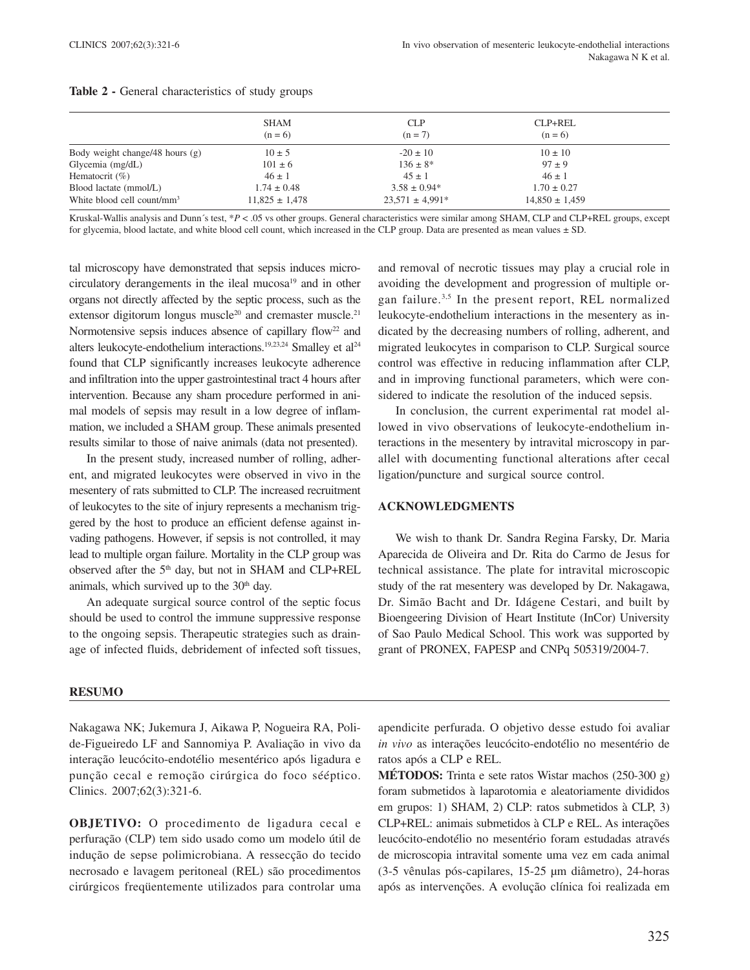|                                                         | SHAM<br>$(n = 6)$                     | <b>CLP</b><br>$(n = 7)$                 | CLP+REL<br>$(n = 6)$                  |  |
|---------------------------------------------------------|---------------------------------------|-----------------------------------------|---------------------------------------|--|
| Body weight change/48 hours (g)                         | $10 \pm 5$                            | $-20 \pm 10$                            | $10 \pm 10$                           |  |
| Glycemia $(mg/dL)$                                      | $101 \pm 6$                           | $136 \pm 8^*$                           | $97 \pm 9$                            |  |
| Hematocrit $(\% )$                                      | $46 \pm 1$                            | $45 \pm 1$                              | $46 \pm 1$                            |  |
| Blood lactate (mmol/L)<br>White blood cell count/ $mm3$ | $1.74 \pm 0.48$<br>$11,825 \pm 1,478$ | $3.58 \pm 0.94*$<br>$23.571 \pm 4.991*$ | $1.70 \pm 0.27$<br>$14,850 \pm 1,459$ |  |

#### **Table 2 -** General characteristics of study groups

Kruskal-Wallis analysis and Dunn´s test, \**P* < .05 vs other groups. General characteristics were similar among SHAM, CLP and CLP+REL groups, except for glycemia, blood lactate, and white blood cell count, which increased in the CLP group. Data are presented as mean values  $\pm$  SD.

tal microscopy have demonstrated that sepsis induces microcirculatory derangements in the ileal mucosa<sup>19</sup> and in other organs not directly affected by the septic process, such as the extensor digitorum longus muscle<sup>20</sup> and cremaster muscle.<sup>21</sup> Normotensive sepsis induces absence of capillary flow<sup>22</sup> and alters leukocyte-endothelium interactions.<sup>19,23,24</sup> Smalley et al<sup>24</sup> found that CLP significantly increases leukocyte adherence and infiltration into the upper gastrointestinal tract 4 hours after intervention. Because any sham procedure performed in animal models of sepsis may result in a low degree of inflammation, we included a SHAM group. These animals presented results similar to those of naive animals (data not presented).

In the present study, increased number of rolling, adherent, and migrated leukocytes were observed in vivo in the mesentery of rats submitted to CLP. The increased recruitment of leukocytes to the site of injury represents a mechanism triggered by the host to produce an efficient defense against invading pathogens. However, if sepsis is not controlled, it may lead to multiple organ failure. Mortality in the CLP group was observed after the 5<sup>th</sup> day, but not in SHAM and CLP+REL animals, which survived up to the  $30<sup>th</sup>$  day.

An adequate surgical source control of the septic focus should be used to control the immune suppressive response to the ongoing sepsis. Therapeutic strategies such as drainage of infected fluids, debridement of infected soft tissues,

and removal of necrotic tissues may play a crucial role in avoiding the development and progression of multiple organ failure.3,5 In the present report, REL normalized leukocyte-endothelium interactions in the mesentery as indicated by the decreasing numbers of rolling, adherent, and migrated leukocytes in comparison to CLP. Surgical source control was effective in reducing inflammation after CLP, and in improving functional parameters, which were considered to indicate the resolution of the induced sepsis.

In conclusion, the current experimental rat model allowed in vivo observations of leukocyte-endothelium interactions in the mesentery by intravital microscopy in parallel with documenting functional alterations after cecal ligation/puncture and surgical source control.

#### **ACKNOWLEDGMENTS**

We wish to thank Dr. Sandra Regina Farsky, Dr. Maria Aparecida de Oliveira and Dr. Rita do Carmo de Jesus for technical assistance. The plate for intravital microscopic study of the rat mesentery was developed by Dr. Nakagawa, Dr. Simão Bacht and Dr. Idágene Cestari, and built by Bioengeering Division of Heart Institute (InCor) University of Sao Paulo Medical School. This work was supported by grant of PRONEX, FAPESP and CNPq 505319/2004-7.

## **RESUMO**

Nakagawa NK; Jukemura J, Aikawa P, Nogueira RA, Polide-Figueiredo LF and Sannomiya P. Avaliação in vivo da interação leucócito-endotélio mesentérico após ligadura e punção cecal e remoção cirúrgica do foco sééptico. Clinics. 2007;62(3):321-6.

**OBJETIVO:** O procedimento de ligadura cecal e perfuração (CLP) tem sido usado como um modelo útil de indução de sepse polimicrobiana. A ressecção do tecido necrosado e lavagem peritoneal (REL) são procedimentos cirúrgicos freqüentemente utilizados para controlar uma

apendicite perfurada. O objetivo desse estudo foi avaliar *in vivo* as interações leucócito-endotélio no mesentério de ratos após a CLP e REL.

**MÉTODOS:** Trinta e sete ratos Wistar machos (250-300 g) foram submetidos à laparotomia e aleatoriamente divididos em grupos: 1) SHAM, 2) CLP: ratos submetidos à CLP, 3) CLP+REL: animais submetidos à CLP e REL. As interações leucócito-endotélio no mesentério foram estudadas através de microscopia intravital somente uma vez em cada animal (3-5 vênulas pós-capilares, 15-25 µm diâmetro), 24-horas após as intervenções. A evolução clínica foi realizada em